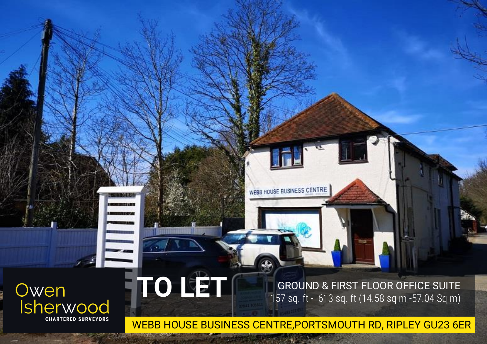# Owen<br>Isherwood **CHARTERED SURVEYORS**

**TO LET**

 $\omega$ 

GROUND & FIRST FLOOR OFFICE SUITE 157 sq. ft - 613 sq. ft (14.58 sq m -57.04 Sq m)

WEBB HOUSE BUSINESS CENTRE,PORTSMOUTH RD, RIPLEY GU23 6ER

WEBB HOUSE BUSINESS CENTRE